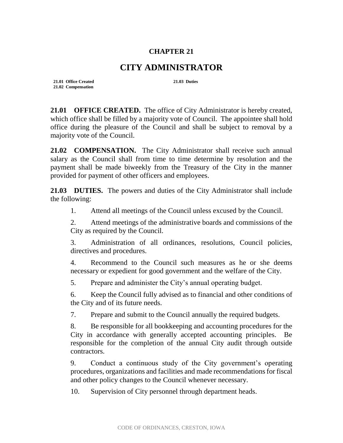## **CHAPTER 21**

## **CITY ADMINISTRATOR**

**21.01 Office Created 21.03 Duties 21.02 Compensation**

**21.01 OFFICE CREATED.** The office of City Administrator is hereby created, which office shall be filled by a majority vote of Council. The appointee shall hold office during the pleasure of the Council and shall be subject to removal by a majority vote of the Council.

**21.02 COMPENSATION.** The City Administrator shall receive such annual salary as the Council shall from time to time determine by resolution and the payment shall be made biweekly from the Treasury of the City in the manner provided for payment of other officers and employees.

**21.03 DUTIES.** The powers and duties of the City Administrator shall include the following:

1. Attend all meetings of the Council unless excused by the Council.

2. Attend meetings of the administrative boards and commissions of the City as required by the Council.

3. Administration of all ordinances, resolutions, Council policies, directives and procedures.

4. Recommend to the Council such measures as he or she deems necessary or expedient for good government and the welfare of the City.

5. Prepare and administer the City's annual operating budget.

6. Keep the Council fully advised as to financial and other conditions of the City and of its future needs.

7. Prepare and submit to the Council annually the required budgets.

8. Be responsible for all bookkeeping and accounting procedures for the City in accordance with generally accepted accounting principles. Be responsible for the completion of the annual City audit through outside contractors.

9. Conduct a continuous study of the City government's operating procedures, organizations and facilities and made recommendations for fiscal and other policy changes to the Council whenever necessary.

10. Supervision of City personnel through department heads.